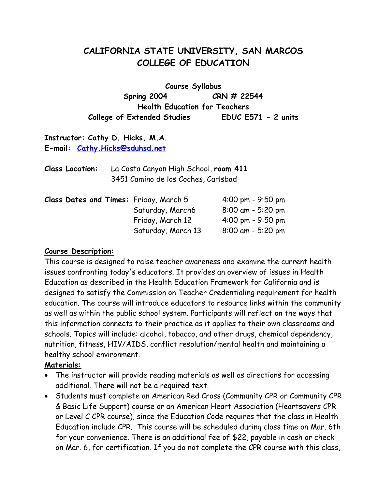# **CALIFORNIA STATE UNIVERSITY, SAN MARCOS COLLEGE OF EDUCATION**

**Course Syllabus Spring 2004 CRN # 22544 Health Education for Teachers College of Extended Studies EDUC E571 - 2 units** 

**Instructor: Cathy D. Hicks, M.A. E-mail: Cathy.Hicks@sduhsd.net**

**Class Location:** La Costa Canyon High School, **room 411**  3451 Camino de los Coches, Carlsbad

|  |  | Class Dates and Times: Friday, March 5 | $4:00 \text{ pm} - 9:50 \text{ pm}$ |
|--|--|----------------------------------------|-------------------------------------|
|  |  | Saturday, March6                       | $8:00$ am - 5:20 pm                 |
|  |  | Friday, March 12                       | $4:00 \text{ pm} - 9:50 \text{ pm}$ |
|  |  | Saturday, March 13                     | $8:00$ am - 5:20 pm                 |

#### **Course Description:**

This course is designed to raise teacher awareness and examine the current health issues confronting today's educators. It provides an overview of issues in Health Education as described in the Health Education Framework for California and is designed to satisfy the Commission on Teacher Credentialing requirement for health education. The course will introduce educators to resource links within the community as well as within the public school system. Participants will reflect on the ways that this information connects to their practice as it applies to their own classrooms and schools. Topics will include: alcohol, tobacco, and other drugs, chemical dependency, nutrition, fitness, HIV/AIDS, conflict resolution/mental health and maintaining a healthy school environment.

#### **Materials:**

- The instructor will provide reading materials as well as directions for accessing additional. There will not be a required text.
- Students must complete an American Red Cross (Community CPR or Community CPR & Basic Life Support) course or an American Heart Association (Heartsavers CPR or Level C CPR course), since the Education Code requires that the class in Health Education include CPR. This course will be scheduled during class time on Mar. 6th for your convenience. There is an additional fee of \$22, payable in cash or check on Mar. 6, for certification. If you do not complete the CPR course with this class,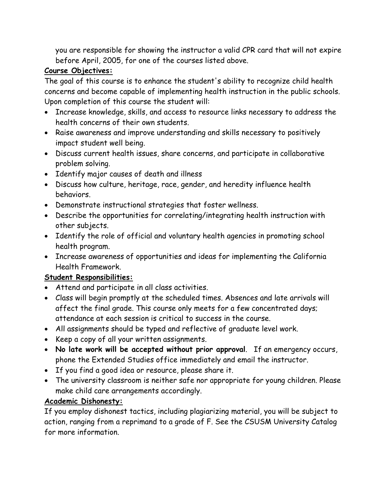you are responsible for showing the instructor a valid CPR card that will not expire before April, 2005, for one of the courses listed above.

## **Course Objectives:**

The goal of this course is to enhance the student's ability to recognize child health concerns and become capable of implementing health instruction in the public schools. Upon completion of this course the student will:

- Increase knowledge, skills, and access to resource links necessary to address the health concerns of their own students.
- Raise awareness and improve understanding and skills necessary to positively impact student well being.
- Discuss current health issues, share concerns, and participate in collaborative problem solving.
- Identify major causes of death and illness
- Discuss how culture, heritage, race, gender, and heredity influence health behaviors.
- Demonstrate instructional strategies that foster wellness.
- Describe the opportunities for correlating/integrating health instruction with other subjects.
- Identify the role of official and voluntary health agencies in promoting school health program.
- Increase awareness of opportunities and ideas for implementing the California Health Framework.

### **Student Responsibilities:**

- Attend and participate in all class activities.
- Class will begin promptly at the scheduled times. Absences and late arrivals will affect the final grade. This course only meets for a few concentrated days; attendance at each session is critical to success in the course.
- All assignments should be typed and reflective of graduate level work.
- Keep a copy of all your written assignments.
- **No late work will be accepted without prior approval**. If an emergency occurs, phone the Extended Studies office immediately and email the instructor.
- If you find a good idea or resource, please share it.
- The university classroom is neither safe nor appropriate for young children. Please make child care arrangements accordingly.

### **Academic Dishonesty:**

If you employ dishonest tactics, including plagiarizing material, you will be subject to action, ranging from a reprimand to a grade of F. See the CSUSM University Catalog for more information.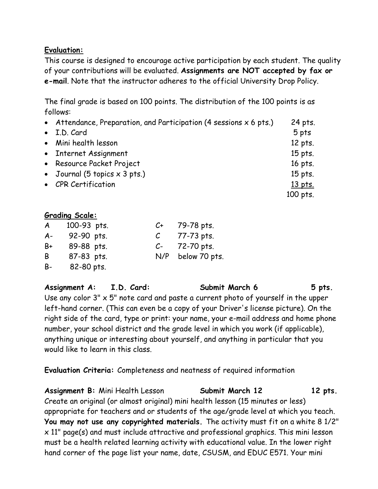#### **Evaluation:**

This course is designed to encourage active participation by each student. The quality of your contributions will be evaluated. **Assignments are NOT accepted by fax or e-mail**. Note that the instructor adheres to the official University Drop Policy.

The final grade is based on 100 points. The distribution of the 100 points is as follows:

| • Attendance, Preparation, and Participation (4 sessions $x$ 6 pts.) | 24 pts.   |
|----------------------------------------------------------------------|-----------|
| • I.D. Card                                                          | 5 pts     |
| • Mini health lesson                                                 | 12 pts.   |
| • Internet Assignment                                                | 15 pts.   |
| • Resource Packet Project                                            | 16 pts.   |
| • Journal (5 topics $\times$ 3 pts.)                                 | 15 pts.   |
| • CPR Certification                                                  | $13$ pts. |
|                                                                      | 100 pts.  |

#### **Grading Scale:**

| $\mathsf{A}$ | 100-93 pts. | $C_{\pm}$ | 79-78 pts.    |
|--------------|-------------|-----------|---------------|
| $A -$        | 92-90 pts.  |           | 77-73 pts.    |
| B+           | 89-88 pts.  | $C-$      | 72-70 pts.    |
| B            | 87-83 pts.  | N/P       | below 70 pts. |
| B-           | 82-80 pts.  |           |               |

**Assignment A: I.D. Card: Submit March 6 5 pts.** Use any color  $3'' \times 5''$  note card and paste a current photo of yourself in the upper left-hand corner. (This can even be a copy of your Driver's license picture). On the right side of the card, type or print: your name, your e-mail address and home phone number, your school district and the grade level in which you work (if applicable), anything unique or interesting about yourself, and anything in particular that you would like to learn in this class.

**Evaluation Criteria:** Completeness and neatness of required information

Assignment B: Mini Health Lesson **Submit March 12** 12 pts. Create an original (or almost original) mini health lesson (15 minutes or less) appropriate for teachers and or students of the age/grade level at which you teach. **You may not use any copyrighted materials.** The activity must fit on a white 8 1/2" x 11" page(s) and must include attractive and professional graphics. This mini lesson must be a health related learning activity with educational value. In the lower right hand corner of the page list your name, date, CSUSM, and EDUC E571. Your mini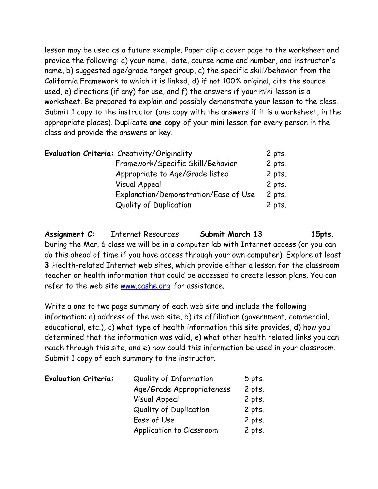lesson may be used as a future example. Paper clip a cover page to the worksheet and provide the following: a) your name, date, course name and number, and instructor's name, b) suggested age/grade target group, c) the specific skill/behavior from the California Framework to which it is linked, d) if not 100% original, cite the source used, e) directions (if any) for use, and f) the answers if your mini lesson is a worksheet. Be prepared to explain and possibly demonstrate your lesson to the class. Submit 1 copy to the instructor (one copy with the answers if it is a worksheet, in the appropriate places). Duplicate **one copy** of your mini lesson for every person in the class and provide the answers or key.

| <b>Evaluation Criteria:</b> Creativity/Originality | $2$ pts. |
|----------------------------------------------------|----------|
| Framework/Specific Skill/Behavior                  | $2$ pts. |
| Appropriate to Age/Grade listed                    | $2$ pts. |
| Visual Appeal                                      | 2 pts.   |
| Explanation/Demonstration/Ease of Use              | $2$ pts. |
| <b>Quality of Duplication</b>                      | $2$ pts. |

Assignment C: Internet Resources **Submit March 13** 15pts. During the Mar. 6 class we will be in a computer lab with Internet access (or you can do this ahead of time if you have access through your own computer). Explore at least **3** Health-related Internet web sites, which provide either a lesson for the classroom teacher or health information that could be accessed to create lesson plans. You can refer to the web site www.cashe.org for assistance.

Write a one to two page summary of each web site and include the following information: a) address of the web site, b) its affiliation (government, commercial, educational, etc.), c) what type of health information this site provides, d) how you determined that the information was valid, e) what other health related links you can reach through this site, and e) how could this information be used in your classroom. Submit 1 copy of each summary to the instructor.

| <b>Evaluation Criteria:</b> | Quality of Information        | $5$ pts. |
|-----------------------------|-------------------------------|----------|
|                             | Age/Grade Appropriateness     | $2$ pts. |
|                             | <b>Visual Appeal</b>          | $2$ pts. |
|                             | <b>Quality of Duplication</b> | 2 pts.   |
|                             | Ease of Use                   | $2$ pts. |
|                             | Application to Classroom      | $2$ pts. |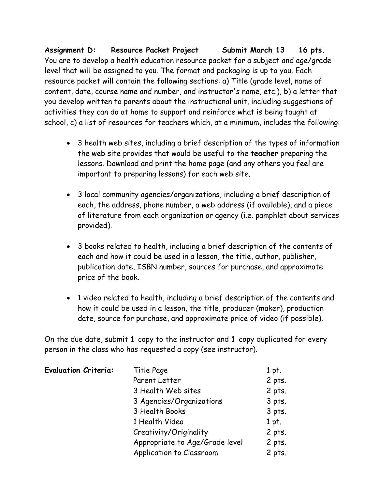**Assignment D: Resource Packet Project Submit March 13 16 pts.**  You are to develop a health education resource packet for a subject and age/grade level that will be assigned to you. The format and packaging is up to you. Each resource packet will contain the following sections: a) Title (grade level, name of content, date, course name and number, and instructor's name, etc.), b) a letter that you develop written to parents about the instructional unit, including suggestions of activities they can do at home to support and reinforce what is being taught at school, c) a list of resources for teachers which, at a minimum, includes the following:

- 3 health web sites, including a brief description of the types of information the web site provides that would be useful to the **teacher** preparing the lessons. Download and print the home page (and any others you feel are important to preparing lessons) for each web site.
- 3 local community agencies/organizations, including a brief description of each, the address, phone number, a web address (if available), and a piece of literature from each organization or agency (i.e. pamphlet about services provided).
- 3 books related to health, including a brief description of the contents of each and how it could be used in a lesson, the title, author, publisher, publication date, ISBN number, sources for purchase, and approximate price of the book.
- 1 video related to health, including a brief description of the contents and how it could be used in a lesson, the title, producer (maker), production date, source for purchase, and approximate price of video (if possible).

On the due date, submit **1** copy to the instructor and **1** copy duplicated for every person in the class who has requested a copy (see instructor).

| <b>Evaluation Criteria:</b> | Title Page                     | 1 pt.    |
|-----------------------------|--------------------------------|----------|
|                             | Parent Letter                  | 2 pts.   |
|                             | 3 Health Web sites             | $2$ pts. |
|                             | 3 Agencies/Organizations       | $3$ pts. |
|                             | 3 Health Books                 | $3$ pts. |
|                             | 1 Health Video                 | 1 pt.    |
|                             | Creativity/Originality         | 2 pts.   |
|                             | Appropriate to Age/Grade level | $2$ pts. |
|                             | Application to Classroom       | $2$ pts. |